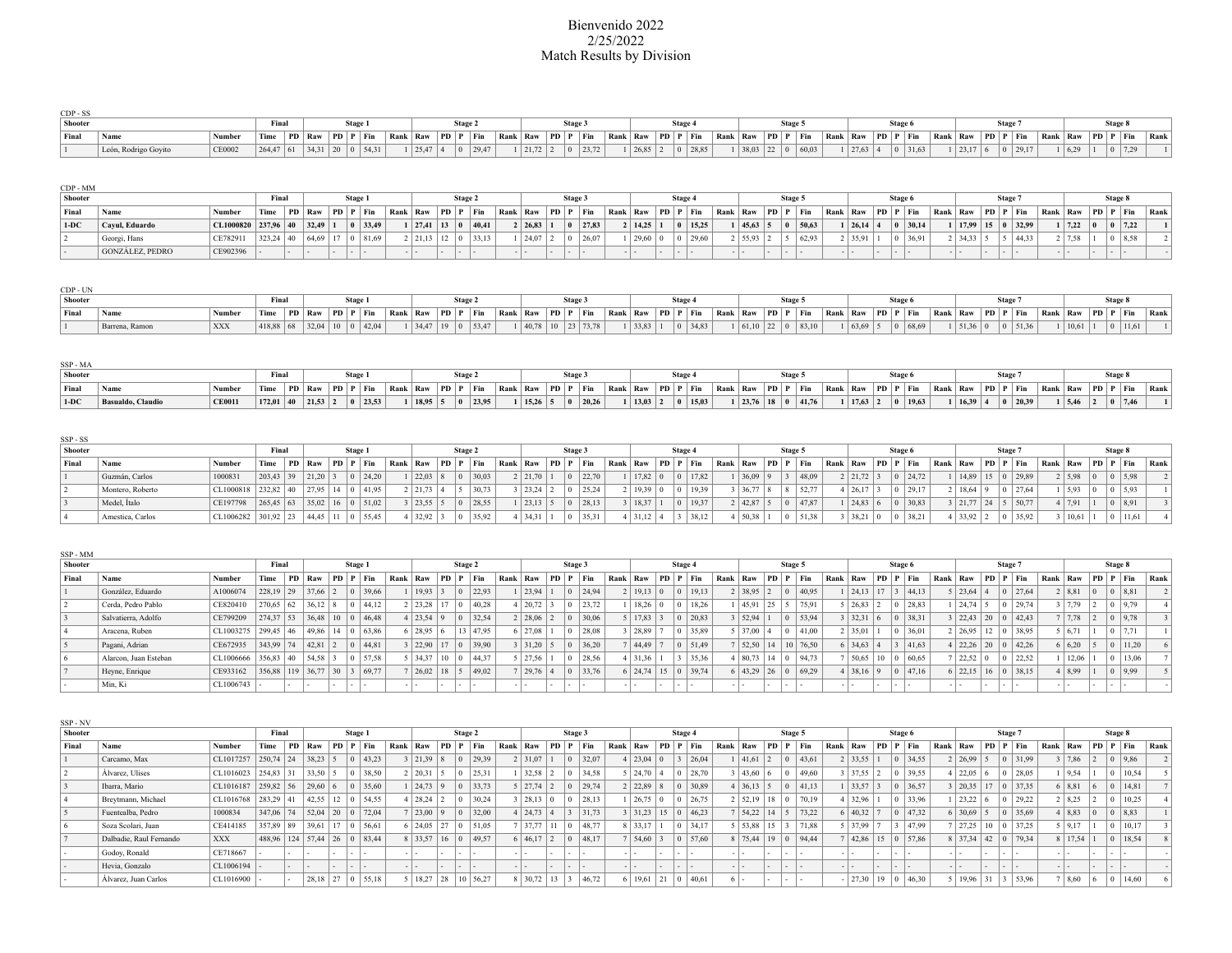## Bienvenido 2022 2/25/2022 Match Results by Division

| CDP - SS |                      |        |                                                                      |  |                  |  |                       |         |                                                                                                                                                                        |      |       |                       |         |  |  |                                          |                       |         |                       |  |         |  |  |  |
|----------|----------------------|--------|----------------------------------------------------------------------|--|------------------|--|-----------------------|---------|------------------------------------------------------------------------------------------------------------------------------------------------------------------------|------|-------|-----------------------|---------|--|--|------------------------------------------|-----------------------|---------|-----------------------|--|---------|--|--|--|
| Shooter  |                      |        | Fina                                                                 |  |                  |  |                       |         |                                                                                                                                                                        | Stag |       |                       |         |  |  |                                          |                       |         |                       |  |         |  |  |  |
| Final    | Nam.                 |        | $\vert$ Time $\vert$ PD $\vert$ Raw $\vert$ PD $\vert$ P $\vert$ Fin |  |                  |  |                       |         | Rank Raw PD P Fin Rank Raw PD P Fin Rank Raw PD P Fin Rank Raw PD P Fin Rank Raw PD P Fin Rank Raw PD P Fin Rank Raw PD P Fin Rank Raw PD P Fin Rank Raw PD P Fin Rank |      |       |                       |         |  |  |                                          |                       |         |                       |  |         |  |  |  |
|          | León, Rodrigo Govito | CE0002 | 264,47                                                               |  | 34.31 20 0 54.31 |  | $1 \mid 25.47 \mid 4$ | 0 29.47 | $\frac{1}{21.72}$ 2                                                                                                                                                    |      | 23.72 | $1 \mid 26,85 \mid 2$ | 0 28.85 |  |  | $1 \mid 38.03 \mid 22 \mid 0 \mid 60.03$ | $1 \mid 27,63 \mid 4$ | 0 31.63 | $1 \mid 23.17 \mid 6$ |  | 0 29.17 |  |  |  |

| CDP - MM       |                        |                           |       |              |        |         |                                          |         |                                               |                                                                                                                                                                                                          |              |       |           |         |         |               |         |                                                           |                       |         |       |                     |              |                    |                                                           |               |  |         |      |
|----------------|------------------------|---------------------------|-------|--------------|--------|---------|------------------------------------------|---------|-----------------------------------------------|----------------------------------------------------------------------------------------------------------------------------------------------------------------------------------------------------------|--------------|-------|-----------|---------|---------|---------------|---------|-----------------------------------------------------------|-----------------------|---------|-------|---------------------|--------------|--------------------|-----------------------------------------------------------|---------------|--|---------|------|
| <b>Shooter</b> |                        |                           | Final |              | Stage. |         |                                          | Stage 2 |                                               |                                                                                                                                                                                                          | <b>Stage</b> |       |           | Stage 4 |         |               | Stage 5 |                                                           |                       | Stage 6 |       |                     | <b>Stage</b> |                    |                                                           |               |  | Stage 8 |      |
| Final          |                        | Number                    |       |              |        |         |                                          |         |                                               | Time PD Raw PD P Fin Rank Raw PD P Fin Rank Raw PD P Fin Rank Raw PD P Fin Rank Raw PD P Fin Rank Raw PD P Fin Rank Raw PD P Fin Rank Raw PD P Fin Rank Raw PD P Fin Rank Raw PD P Fin Rank Raw PD P Fin |              |       |           |         |         |               |         |                                                           |                       |         |       |                     |              |                    | $\vert$ Rank $\vert$ Raw $\vert$ PD $\vert$ P $\vert$ Fin |               |  |         | Rank |
| $1-DC$         | Cavul. Eduardo         | $CL1000820$ 237.96 40     |       | $32.49$ 1    |        | 0 33.49 |                                          |         | $1 \mid 27,41 \mid 13 \mid 0 \mid 40,41 \mid$ | 2   26.83   1                                                                                                                                                                                            |              | 27,83 | 2   14,25 |         | 0 15,25 | 45,63 5       |         | 50,63                                                     | $1 \mid 26,14 \mid 4$ |         | 30.14 | $1 \mid 17.99$      |              | $15 \t 0 \t 32.99$ |                                                           | $1 \mid 7.22$ |  | 7.22    |      |
|                | Georgi, Hans           | $ CE782911 $ $ 323,24 40$ |       | $64,69$   17 |        | 0 81.69 | $2 \mid 21,13 \mid 12 \mid 0 \mid 33,13$ |         |                                               | 24,07 2                                                                                                                                                                                                  | $ 0 $ 26,07  |       | 29,60 0   |         | 0 29,60 | 2   55,93   2 |         | $\begin{array}{ c c c c c } \hline 5 & 62.93 \end{array}$ | 2   35.91             |         | 36.91 | $2 \mid 34,33 \mid$ |              | 5   44.33          |                                                           | $2 \mid 7.58$ |  | 8.58    |      |
|                | <b>GONZÁLEZ, PEDRO</b> | CE902396                  |       |              |        |         |                                          |         |                                               | .                                                                                                                                                                                                        |              |       |           |         |         |               |         |                                                           |                       |         |       | $-1 -$              |              | .                  |                                                           |               |  |         |      |

| CDP - UN       |                |            |  |  |                                                                            |  |  |                                               |                             |  |  |                                              |  |  |  |                                                                                                                                                                                                              |  |  |                   |                                              |  |  |               |         |  |
|----------------|----------------|------------|--|--|----------------------------------------------------------------------------|--|--|-----------------------------------------------|-----------------------------|--|--|----------------------------------------------|--|--|--|--------------------------------------------------------------------------------------------------------------------------------------------------------------------------------------------------------------|--|--|-------------------|----------------------------------------------|--|--|---------------|---------|--|
| <b>Shooter</b> |                |            |  |  |                                                                            |  |  | Stage.                                        |                             |  |  |                                              |  |  |  | Stage:                                                                                                                                                                                                       |  |  |                   |                                              |  |  |               |         |  |
| Final          | Nam            |            |  |  | $\lceil$ Time $\lceil$ PD $\rceil$ Raw $\lceil$ PD $\rceil$ P $\lceil$ Fin |  |  |                                               |                             |  |  |                                              |  |  |  | Rank Raw PD P Fin   Rank Raw PD P Fin   Rank Raw PD P Fin   Rank Raw PD P Fin   Rank Raw PD P Fin   Rank Raw PD P Fin   Rank Raw PD P Fin   Rank Raw PD P Fin   Rank Raw PD P Fin   Rank Raw PD P Fin   Rank |  |  |                   |                                              |  |  |               |         |  |
|                | Barrena. Ramon | <b>XXX</b> |  |  | 418,88 68 32,04 10 0 42,04                                                 |  |  | $1 \mid 34,47 \mid 19 \mid 0 \mid 53,47 \mid$ | 1   40.78   10   23   73.78 |  |  | $1 \mid 33,83 \mid 1 \mid 0 \mid 34,83 \mid$ |  |  |  | 1   61,10   22   0   83,10                                                                                                                                                                                   |  |  | 1 63,69 5 0 68,69 | $1 \mid 51,36 \mid 0 \mid 0 \mid 51,36 \mid$ |  |  | 1   10,61   1 | 0 11,61 |  |

| SSP - MA |                   |               |             |  |                 |  |  |                                              |                                                                                                                                                                                                                                |  |  |                           |              |  |  |                                          |                                              |       |  |  |                                              |                                       |  |  |
|----------|-------------------|---------------|-------------|--|-----------------|--|--|----------------------------------------------|--------------------------------------------------------------------------------------------------------------------------------------------------------------------------------------------------------------------------------|--|--|---------------------------|--------------|--|--|------------------------------------------|----------------------------------------------|-------|--|--|----------------------------------------------|---------------------------------------|--|--|
| Shooter  |                   |               | Final       |  |                 |  |  | <b>Stage</b>                                 |                                                                                                                                                                                                                                |  |  |                           | <b>Stage</b> |  |  | Stage:                                   |                                              | Stage |  |  | <b>Stage</b>                                 |                                       |  |  |
| Final    | Nam               |               |             |  |                 |  |  |                                              | Time PD Raw PD P Fin Rank Raw PD P Fin Rank Raw PD P Fin Rank Raw PD P Fin Rank Raw PD P Fin Rank Raw PD P Fin Rank Raw PD P Fin Rank Raw PD P Fin Rank Raw PD P Fin Rank Raw PD P Fin Rank Raw PD P Fin Rank Raw PD P Fin Ran |  |  |                           |              |  |  |                                          |                                              |       |  |  |                                              |                                       |  |  |
| $1-DC$   | Basualdo, Claudio | <b>CE0011</b> | $172,01$ 40 |  | 21,53 2 0 23,53 |  |  | $1 \mid 18.95 \mid 5 \mid 0 \mid 23.95 \mid$ | 1   15,26   5   0   20,26                                                                                                                                                                                                      |  |  | 1   13,03   2   0   15,03 |              |  |  | $1 \mid 23,76 \mid 18 \mid 0 \mid 41,76$ | $1 \mid 17,63 \mid 2 \mid 0 \mid 19,63 \mid$ |       |  |  | $1 \mid 16,39 \mid 4 \mid 0 \mid 20,39 \mid$ | $1 \mid 5,46 \mid 2 \mid 0 \mid 7,46$ |  |  |

| SSP - SS       |                  |                       |             |            |                            |          |                       |          |                       |        |       |                   |                       |         |                |                |          |         |           |                                  |                           |              |         |             |                   |                                          |         |                            |                                                           |               |  |            |      |  |
|----------------|------------------|-----------------------|-------------|------------|----------------------------|----------|-----------------------|----------|-----------------------|--------|-------|-------------------|-----------------------|---------|----------------|----------------|----------|---------|-----------|----------------------------------|---------------------------|--------------|---------|-------------|-------------------|------------------------------------------|---------|----------------------------|-----------------------------------------------------------|---------------|--|------------|------|--|
| <b>Shooter</b> |                  |                       | Final       |            | Stage 1                    |          |                       | Stage 2  |                       | Stage: |       |                   |                       | Stage 4 |                |                |          | Stage 5 |           |                                  |                           |              | Stage 6 |             |                   |                                          | Stage 7 |                            |                                                           |               |  | Stage 8    |      |  |
| Final          | Name             | Number                | Time        |            | $ PD $ Raw $ PD $ $P $ Fin | Rank Raw |                       | PD P Fin | Rank Raw PD P Fin     |        |       | Rank Raw PD P Fin |                       |         |                | Rank Raw       | PD P Fin |         |           | $\vert$ Rank $\vert$ Raw $\vert$ |                           | PD   P   Fin |         |             | Rank Raw PD P Fin |                                          |         |                            | $\vert$ Rank $\vert$ Raw $\vert$ PD $\vert$ P $\vert$ Fin |               |  |            | Rank |  |
|                | Guzmán, Carlos   | 1000831               | 203,43 39   | 21,20 3    | 0 24,20                    |          | 22,03                 | 130,03   | 2 21,70 1             |        | 22,70 |                   | $17,82$ 0             |         | 0 17,82        | $1 \mid 36,09$ |          |         | 48,09     |                                  | 2   21,72   3             |              |         | 0 24.72     |                   |                                          |         | 1   14,89   15   0   29,89 |                                                           | 2   5,98   0  |  | 5,98       |      |  |
|                | Montero, Roberto | $CL1000818$ 232.82 40 |             | 27.95 14   | 41.95                      |          | $2 \mid 21,73 \mid 4$ | 30,73    | $3 \mid 23,24 \mid 2$ |        | 25,24 |                   | 2   19,39   0         |         | $ 0 $ 19.39    | 3   36,77      |          |         | 8   52,77 |                                  | 4 26,17 3                 |              |         | 0 29.17     |                   | 2   18.64   9                            |         | 0 27.64                    |                                                           | 5,93          |  | $ 0 $ 5.93 |      |  |
|                | Medel. Italo     | CE197798              | $265,45$ 63 |            | 35.02 16 0 51.02           |          | 3   23.55   5         | 28,55    | $\frac{1}{23,13}$ 5   |        | 28,13 |                   | 3   18,37             |         | $ 0 $ 19,37    | 2 42,87        |          |         | 47,87     |                                  | $\frac{1}{24,83}$ 6       |              |         | $ 0 $ 30,83 |                   | $3 \mid 21.77 \mid 24 \mid 5 \mid 50.77$ |         |                            |                                                           | 7,91          |  | 0 8.91     |      |  |
|                | Amestica, Carlos | $CL1006282$ 301,92 23 |             | 44,45 11 0 | 55,45                      |          | $4 \mid 32.92 \mid 3$ | 35,92    | 4 34,31 1             |        | 35,31 |                   | $4 \mid 31,12 \mid 4$ |         | $3 \mid 38,12$ | 4 50,38        |          |         | 51,38     |                                  | 3   38,21   0   0   38,21 |              |         |             |                   | 4 33.92 2                                |         | 0 35.92                    |                                                           | 3   10,61   1 |  | 11.61      |      |  |

| SSP-MM         |                       |                                                                |             |     |                                              |     |         |                          |      |                       |             |          |                       |                |         |                                           |                                          |     |                 |                |      |                                           |              |         |       |          |                                          |          |                |       |                       |    |                    |                                          |          |               |     |          |            |      |
|----------------|-----------------------|----------------------------------------------------------------|-------------|-----|----------------------------------------------|-----|---------|--------------------------|------|-----------------------|-------------|----------|-----------------------|----------------|---------|-------------------------------------------|------------------------------------------|-----|-----------------|----------------|------|-------------------------------------------|--------------|---------|-------|----------|------------------------------------------|----------|----------------|-------|-----------------------|----|--------------------|------------------------------------------|----------|---------------|-----|----------|------------|------|
| <b>Shooter</b> |                       |                                                                | Final       |     |                                              |     | Stage 1 |                          |      |                       |             | Stage 2  |                       |                | Stage 3 |                                           |                                          |     | Stage 4         |                |      |                                           |              | Stage 5 |       |          |                                          |          | Stage 6        |       |                       |    | Stage <sup>'</sup> |                                          |          |               |     | Stage 8  |            |      |
| Final          | Name                  | Number                                                         | Time        | PD  | $\vert$ Raw $\vert$ PD $\vert$ P $\vert$ Fin |     |         |                          | Rank | Raw                   |             | PD P Fin | Rank Raw              | PD   P         | Fin     |                                           | Rank   Raw   PD   P   Fin                |     |                 |                | Rank | Raw                                       | $ PD P $ Fin |         |       | Rank Raw |                                          | PD P Fin |                |       | Rank Raw              | PD |                    | $ P $ Fin                                | Rank Raw |               |     | PD P Fin |            | Rank |
|                | González, Eduardo     | A1006074                                                       | 228,19 29   |     | 37,66 2                                      |     |         | 39,66                    |      | 19.93 3               |             | 22,93    | 23,94 1               |                |         | $ 0 $ 24,94                               | 2   19,13   0                            |     | $\vert 0 \vert$ | 19.13          |      | 2 38,95 2                                 |              |         | 40,95 |          | 24,13 17 3 44,13                         |          |                |       | $5 \mid 23,64 \mid 4$ |    |                    | $0 \mid 27,64$                           |          | 2   8,81      |     |          | 8,81       |      |
|                | Cerda, Pedro Pablo    | CE820410                                                       | $270.65$ 62 |     | $36,12$ 8                                    |     |         | 44.12                    |      | 2 23.28               |             | 140.28   | 4 20.72 3             | $\overline{0}$ |         | 123.72                                    | $18,26$   0                              |     | $\overline{0}$  | 18.26          |      | 45.91 25                                  |              |         | 75,91 |          | 26,83 2                                  |          |                | 28.83 | $1 \mid 24.74 \mid 5$ |    |                    | 29.74                                    |          | $3 \mid 7,79$ |     |          | 9.79       |      |
|                | Salvatierra. Adolfo   | CE799209                                                       | $274.37$ 53 |     |                                              |     |         | $36.48$   10   0   46.48 |      | $4 \mid 23.54 \mid 9$ |             | 32,54    | $2 \mid 28,06 \mid 2$ |                |         | $ 0 $ 30.06                               | 5 17,83 3                                |     |                 | $ 0 $ 20.83    |      | 3 52,94 1                                 |              |         | 53,94 |          | 3   32,31   6                            |          | $ 0 $ 38,31    |       | 3   22,43   20   0    |    |                    | $ 42.43\rangle$                          |          | 7 7,78        |     |          | $ 0 $ 9,78 |      |
|                | Aracena, Ruben        | CL1003275   299,45   46                                        |             |     |                                              |     |         | 49,86 14 0 63,86         |      | $6 \mid 28.95 \mid 6$ |             | 13 47,95 | $6 \mid 27.08 \mid$   |                |         | $ 0 $ 28,08                               | 28,89                                    |     | $\overline{0}$  | 35.89          |      | 5 37,00                                   |              |         | 41,00 |          | 2 35,01                                  |          |                | 36,01 | 2   26.95   12   0    |    |                    | 38,95                                    |          | 5   6, 71     |     |          | 7.71       |      |
|                | Pagani, Adrian        | CE672935                                                       | $343.99$ 74 |     | 42,81 2                                      |     |         | $ 0 $ 44.81              |      | 3 22,90               |             | 39.90    | 3 31,20 5             |                |         | $ 0 $ 36,20                               | 7 44.49 7                                |     |                 | 0 51.49        |      | $7 \mid 52,50 \mid 14 \mid 10 \mid 76,50$ |              |         |       |          | $6 \mid 34,63 \mid 4$                    |          | $3 \mid 41.63$ |       | 4 22,26 20 0          |    |                    | 42.26                                    |          | 6 6,20        |     |          | 11.20      |      |
|                | Alarcon. Juan Esteban | $CL1006666$ 356,83 40                                          |             |     | 54.58                                        |     |         | $ 0 $ 57,58              |      | $5 \mid 34,37$        | $10 \mid 0$ | 144.37   | 5 27,56               | $\overline{0}$ |         | 28,56                                     | 4 31,36                                  |     |                 | $3 \mid 35,36$ |      | $4 \mid 80,73 \mid 14 \mid 0$             |              |         | 94.73 |          | $1 \mid 50,65 \mid 10 \mid 0 \mid 60,65$ |          |                |       | 22,52                 |    |                    | 22,52                                    |          | 12,06         |     |          | 13.06      |      |
|                | Heyne, Enrique        | $\vert$ CE933162 $\vert$ 356,88   119   36,77   30   3   69,77 |             |     |                                              |     |         |                          |      | 26.02 18 5            |             | 149.02   | 29,76 4               |                |         | $\begin{vmatrix} 0 & 33,76 \end{vmatrix}$ | $6 \mid 24,74 \mid 15 \mid 0 \mid 39,74$ |     |                 |                |      | $6 \mid 43,29 \mid 26 \mid 0$             |              |         | 69,29 |          | 4 38,16 9                                |          | $ 0 $ 47.16    |       |                       |    |                    | $6 \mid 22,15 \mid 16 \mid 0 \mid 38,15$ |          | 4 8,99        |     |          | 9,99       |      |
|                | Min, Ki               | $CL1006743$ $\vert$ -                                          |             | . . |                                              | . . | . .     |                          |      |                       | $\sim$      |          | .                     |                | .       |                                           | .                                        | . . | .               |                |      |                                           | .            | .       |       |          | $-1 -$                                   | . .      | .              |       | .                     |    | .                  |                                          |          | $-1 -$        | . . | .        |            |      |

| SSP - NV       |                         |                       |                       |     |                  |                  |          |                       |               |         |                                                                     |      |                        |        |         |                 |                                                                    |       |                       |                |                            |          |                               |             |         |        |      |                            |                |             |          |                       |        |          |                            |          |                |     |                |          |      |
|----------------|-------------------------|-----------------------|-----------------------|-----|------------------|------------------|----------|-----------------------|---------------|---------|---------------------------------------------------------------------|------|------------------------|--------|---------|-----------------|--------------------------------------------------------------------|-------|-----------------------|----------------|----------------------------|----------|-------------------------------|-------------|---------|--------|------|----------------------------|----------------|-------------|----------|-----------------------|--------|----------|----------------------------|----------|----------------|-----|----------------|----------|------|
| <b>Shooter</b> |                         |                       | Final                 |     |                  |                  | Stage 1  |                       |               |         | Stage 2                                                             |      |                        |        | Stage 3 |                 |                                                                    |       |                       | Stage 4        |                            |          |                               |             | Stage 5 |        |      |                            |                | Stage 6     |          |                       |        | Stage 7  |                            |          |                |     | Stage 8        |          |      |
| Final          | Name                    | Number                | Time                  | PD. | $\cdot$   Raw    |                  | PD P Fin | Rank Raw              |               | P D   P | $ $ Fin                                                             | Rank | Raw                    | PD     |         | Fin             | Rank $\left  \text{ Raw} \right $ PD $\left  \text{P} \right $ Fin |       |                       |                |                            | Rank Raw |                               | PD          |         | Fin    | Rank | :   Raw                    | PD P Fin       |             |          | Rank Raw              |        | PD P Fin |                            | Rank Raw |                |     |                | PD P Fin | Rank |
|                | Carcamo, Max            | $CL1017257$ 250,74 24 |                       |     | $38,23$ 5        |                  | 43,23    | $3 \mid 21,39 \mid 8$ |               |         | $\begin{array}{ c c c c c } \hline 0 & 29,39 \\ \hline \end{array}$ |      | 2 31,07 1              |        |         | 32,07           |                                                                    |       | 4 23,04 0             |                | $3 \mid 26,04$             |          | 1   41,61   2                 |             |         | 43,61  |      | $2 \mid 33,55 \mid$        |                | $ 0 $ 34,55 |          | 2   26.99   5         |        |          | 0 31,99                    |          | 7,86 2         |     |                | 9,86     |      |
|                | Álvarez. Ulises         | $CL1016023$ 254,83 31 |                       |     | $33,50$ 5        |                  | 38,50    | 2 20,31               | $\frac{1}{2}$ |         | 25,31                                                               |      | $32,58$ 2              |        |         | 34.58           |                                                                    |       | $\frac{1}{24,70}$   4 |                | 0 28.70                    |          | 3   43,60   6                 |             |         | 49.60  |      | 3   37,55   2              |                | 0 39.55     |          | 4 22,05 6             |        |          | $ 0 $ 28.05                |          | 9.54           |     |                | 10.54    |      |
|                | Ibarra, Mario           | $CL1016187$ 259,82 56 |                       |     | 29,60 6          |                  | 35,60    | $1 \mid 24,73 \mid 9$ |               |         | 33,73                                                               |      | $5 \mid 27,74 \mid 2$  |        |         | 29.74           |                                                                    |       | $22,89$ 8             |                | 0 30,89                    |          | $4 \mid 36,13 \mid 5$         |             |         | 41,13  |      | 33,57                      |                | 0 36,57     |          |                       |        |          | 3   20.35   17   0   37.35 |          | 6   8,81       |     |                | 14,81    |      |
|                | Breytmann, Michael      | CL1016768             | 283,29 41             |     | 42.55 12 0       |                  | 54.55    | 28,24                 |               |         | 30.24                                                               |      | 3 28,13 0              |        |         | 128.13          |                                                                    |       | 26,75 0               |                | 0 26,75                    |          | 2 52.19                       | $18 \mid 0$ |         | 70.19  |      | $1 \mid 32.96 \mid$        |                | 0 33.96     |          | 1   23,22   6         |        |          | 0 29.22                    |          | $2 \mid 8,25$  |     |                | 10.25    |      |
|                | Fuentealba, Pedro       | 1000834               | 347,06 74             |     | 52,04 20 0       |                  | 72,04    | 7 23,00 9             |               |         | 0 32,00                                                             |      | 4 24,73 4              |        |         | 31,73           |                                                                    |       |                       |                | 3   31,23   15   0   46,23 |          | 7 54,22 14 5                  |             |         | 73,22  |      | $6 \mid 40,32 \mid$        | $\overline{a}$ | $ 0 $ 47,32 |          | $6 \mid 30,69 \mid 5$ |        |          | 0 35,69                    |          | 8,83           |     |                | 0 8,83   |      |
|                | Soza Scolari, Juan      | CE414185              | 357.89 89             |     | $39.61$   17   0 |                  | 56.61    | 6 24.05 27 0          |               |         | 51.05                                                               |      | 7 37.77 11             |        | $-10-$  | $ 48,77\rangle$ |                                                                    | 33,17 |                       |                | $ 0 $ 34.17                |          | 5   53,88                     | $15 \mid 3$ |         | 171.88 |      | 5 37.99                    | $\vert$ 3      | 47.99       |          | 7 27.25 10 0 37.25    |        |          |                            |          | 5 9.17         |     | $\overline{0}$ | 10.17    |      |
|                | Dalbadie. Raul Fernando | <b>XXX</b>            | 488,96 124 57,44 26 0 |     |                  |                  | 83,44    |                       |               |         | 8 33,57 16 0 49,57                                                  |      | 6 46,17 2              |        |         | 48,17           |                                                                    |       | $54,60$ 3             | $\overline{0}$ | 57,60                      |          | $8 \mid 75,44 \mid 19 \mid 0$ |             |         | 94.44  |      | 7   42,86   15   0   57,86 |                |             |          | 8 37,34 42 0 79,34    |        |          |                            |          | 8 17,54 1      |     | $\overline{0}$ | 18,54    |      |
|                | Godov, Ronald           | CE718667              |                       |     |                  | $\sim$           |          | .                     | . .           | . .     |                                                                     |      | - 1 -                  | $\sim$ |         |                 |                                                                    |       | . .                   | . .            |                            |          |                               |             |         |        | .    |                            | $\sim$         | .           | $-1$ $-$ |                       | $\sim$ | .        |                            |          | $-1$ $-$       | . . |                |          |      |
|                | Hevia, Gonzalo          | CL1006194             |                       |     |                  | $\sim$           |          |                       |               |         |                                                                     |      | - 1 -                  |        |         |                 |                                                                    |       | $-$                   | . .            |                            |          |                               |             |         |        |      |                            | $\sim$         |             | .        |                       |        | .        |                            |          |                |     |                |          |      |
|                | Álvarez. Juan Carlos    | CL1016900             |                       |     |                  | $28,18$   27   0 | 55,18    |                       |               |         | $5 \mid 18,27 \mid 28 \mid 10 \mid 56,27$                           |      | $8 \mid 30,72 \mid 13$ |        |         | 46.72           |                                                                    |       |                       |                | 6 19,61 21 0 40,61         |          | 61 -                          |             |         |        |      | $-27,30$   19   0   46,30  |                |             |          | 5   19,96   31        |        |          | $3 \mid 53.96$             |          | $ 8,60\rangle$ |     |                | 14.60    |      |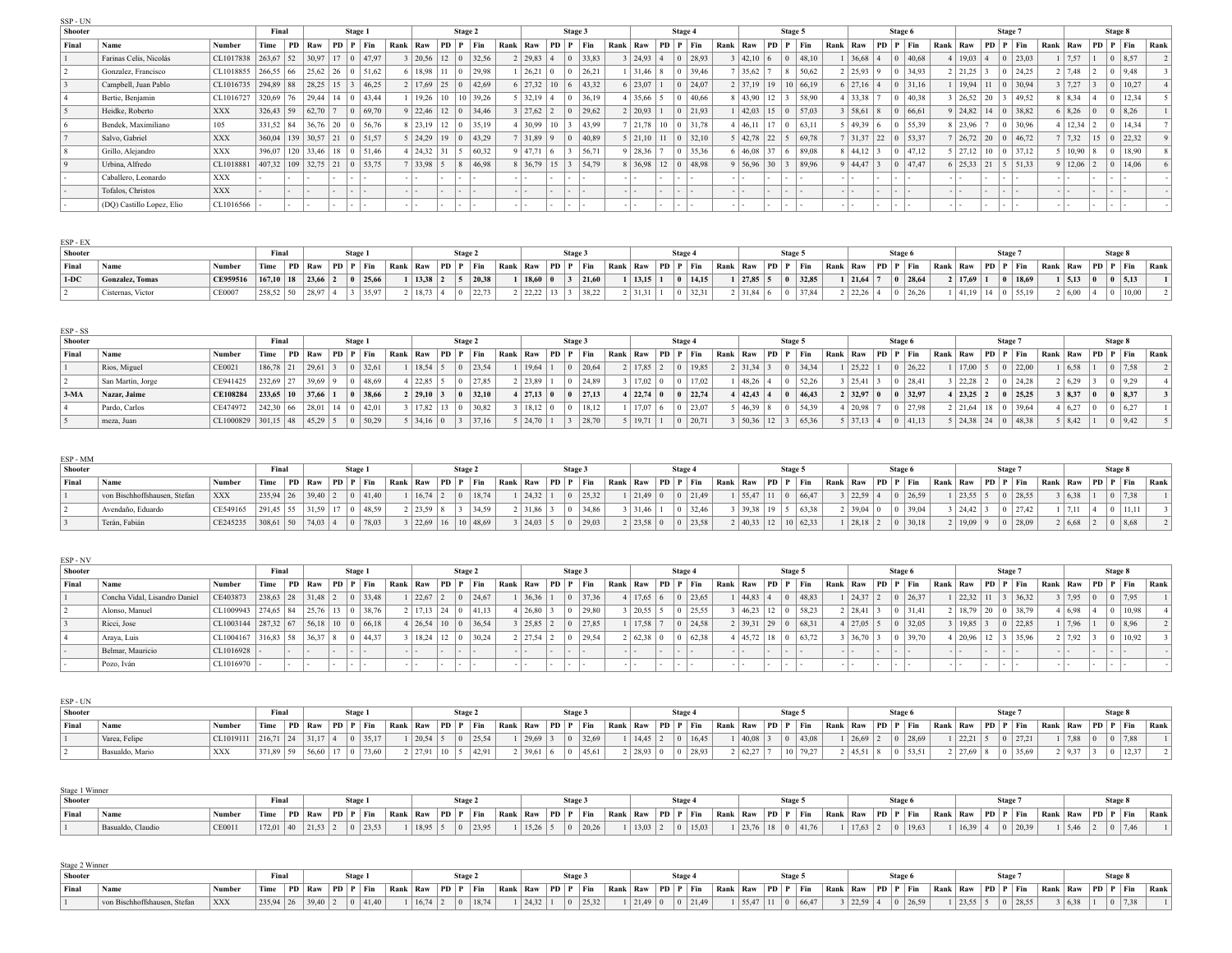| SSP - UN |                           |                       |                                       |           |                                              |         |             |       |                               |                 |          |       |          |                               |                |         |       |          |                       |          |                                          |          |                               |        |               |                                           |      |                       |     |         |             |      |                                              |         |                                          |      |                       |                |         |                        |      |
|----------|---------------------------|-----------------------|---------------------------------------|-----------|----------------------------------------------|---------|-------------|-------|-------------------------------|-----------------|----------|-------|----------|-------------------------------|----------------|---------|-------|----------|-----------------------|----------|------------------------------------------|----------|-------------------------------|--------|---------------|-------------------------------------------|------|-----------------------|-----|---------|-------------|------|----------------------------------------------|---------|------------------------------------------|------|-----------------------|----------------|---------|------------------------|------|
| Shooter  |                           |                       | Final                                 |           |                                              | Stage 1 |             |       |                               |                 | Stage 2  |       |          |                               |                | Stage 3 |       |          |                       | Stage 4  |                                          |          |                               |        |               | Stage 5                                   |      |                       |     | Stage 6 |             |      |                                              | Stage 7 |                                          |      |                       |                | Stage 8 |                        |      |
| Final    | Name                      | Number                | Time                                  | <b>PD</b> | $\vert$ Raw $\vert$ PD $\vert$ P $\vert$ Fin |         |             | Rank  | Raw                           | PD   P          | Fin.     |       | Rank Raw |                               | $ PD P $ Fin   |         |       | Rank Raw |                       | PD P Fin |                                          | Rank Raw |                               |        |               | P D   P   Fin                             | Rank | Raw                   |     |         | PD P Fin    | Rank | $\vert$ Raw $\vert$ PD $\vert$ P $\vert$ Fin |         |                                          | Rank | Raw                   |                |         | PD P Fin               | Rank |
|          | Farinas Celis. Nicolás    | CL1017838             | $263,67$ 52                           |           | $30.97$   17   0   47.97                     |         |             |       | $3 \mid 20.56 \mid 12 \mid 0$ |                 | 32.56    |       |          | 2   29,83   4                 |                |         | 33,83 |          | 3 24,93 4             |          | 0 28.93                                  |          | 3   42,10   6                 |        |               | $ 0 $ 48,10                               |      | $36,68$   4           |     |         | 40.68       |      | 4 19.03 4                                    |         | 0 23.03                                  |      | 7.57                  |                |         | 0 8,57                 |      |
|          | Gonzalez. Francisco       | $CL1018855$ 266,55 66 |                                       |           | 25,62 26 0 51,62                             |         |             |       | 6 18,98                       |                 |          | 29.98 |          | 26,21                         |                |         | 26,21 |          | $1 \mid 31,46 \mid 8$ |          | 0 39,46                                  |          | 7 35,62 7                     |        | $\frac{1}{8}$ | 50,62                                     |      | 2   25.93   9         |     |         | 34.93       |      | $2 \mid 21,25 \mid 3$                        |         | 0 24,25                                  |      | $2 \mid 7,48$         |                |         | $ 0 $ 9.48             |      |
|          | Campbell, Juan Pablo      | $CL1016735$ 294,89 88 |                                       |           | 28.25 15 3 46.25                             |         |             |       | 2   17,69   25   0            |                 |          | 42.69 |          | $6 \mid 27,32$                | $10\,6$        |         | 43,32 |          | 6 23,07               |          | 0 24.07                                  |          |                               |        |               | $2 \mid 37,19 \mid 19 \mid 10 \mid 66,19$ |      | $6 \mid 27,16 \mid 4$ |     | - 11    | 31,16       |      |                                              |         | $19.94$   11   0   30.94                 |      | 3 7,27                |                |         | 10,27                  |      |
|          | Bertie, Benjamin          | CL1016727             | $320,69$ 76                           |           | 29.44 14 0 43.44                             |         |             |       | 19.26                         |                 | 10 39.26 |       |          | 5 32,19                       |                |         | 36,19 |          | 1 35,66               |          | $ 0 $ 40.66                              |          | $8 \mid 43.90 \mid 12 \mid 3$ |        |               | 58.90                                     |      | $1 \mid 33.38 \mid 7$ |     |         | 40.38       |      | 3 26,52 20                                   |         | 49.52                                    |      | $8 \mid 8,34$         |                |         | 12,34                  |      |
|          | Heidke, Roberto           | <b>XXX</b>            | $326.43$ 59                           |           | 62.70                                        |         | $ 0 $ 69.70 |       | $9 \mid 22.46 \mid 12 \mid 0$ |                 |          | 34.46 |          | 27,62                         |                |         | 29.62 |          | 2 20,93               |          | $ 0 $ 21.93                              |          | 42,03 15 0                    |        |               | 57.03                                     |      | 3   58,61   8         |     |         | 66.61       |      |                                              |         | $9 \mid 24.82 \mid 14 \mid 0 \mid 38.82$ |      | $6 \mid 8,26$         | $\overline{0}$ |         | 0 8.26                 |      |
|          | Bendek. Maximiliano       | 105                   | $331.52$ 84                           |           | $36.76$ 20 0 56.76                           |         |             |       | $8 \mid 23.19$                | $12 \mid 0$     |          | 35.19 |          | $ 30.99\rangle$               | 10             |         | 43.99 |          |                       |          | 7 21.78 10 0 31.78                       |          | 1   46.11   17   0            |        |               | 63.11                                     |      | 5   49.39   6         |     |         | 55.39       |      | $8 \mid 23.96 \mid 7$                        |         | $ 0 $ 30.96                              |      | 12.34                 |                |         | 14.34                  |      |
|          | Salvo, Gabriel            | <b>XXX</b>            | $360,04$ 139 30.57 21 0 51.57         |           |                                              |         |             |       | $5 \mid 24,29 \mid$           | 19 <sup>0</sup> | 143.29   |       |          | 7 31.89 9                     |                |         | 40.89 |          |                       |          | $5 \mid 21,10 \mid 11 \mid 0 \mid 32,10$ |          |                               |        |               | $5 \mid 42.78 \mid 22 \mid 5 \mid 69.78$  |      | 7 31,37 22 0          |     |         | 53.37       |      | $7 \mid 26,72 \mid 20 \mid 0 \mid 46,72$     |         |                                          |      | 7,32                  |                |         | $15 \mid 0 \mid 22,32$ |      |
|          | Grillo, Alejandro         | <b>XXX</b>            | 396.07   120   33.46   18   0   51.46 |           |                                              |         |             |       | 4 24.32 31                    |                 | 60.32    |       |          | 9 47.71                       | $\overline{6}$ |         | 56.71 |          | 9 28,36               |          | $ 0 $ 35.36                              |          | 6 46,08 37 6                  |        |               | 89.08                                     |      | 8   44.12   3         |     |         | 47.12       |      |                                              |         | $5 \mid 27,12 \mid 10 \mid 0 \mid 37,12$ |      | 5 10.90 8             |                |         | 18.90                  |      |
|          | Urbina. Alfredo           | CL1018881             | $407,32$ 109 32,75 21 0 53,75         |           |                                              |         |             |       | 7 33.98 5                     |                 |          | 46.98 |          | $8 \mid 36,79 \mid 15 \mid 3$ |                |         | 54,79 |          |                       |          | $8 \mid 36.98 \mid 12 \mid 0 \mid 48.98$ |          | 9 56,96 30 3                  |        |               | 89.96                                     |      | 9   44.47   3         |     |         | $ 0 $ 47.47 |      | $6 \mid 25.33 \mid 21$                       |         | $\frac{5}{5}$ 51,33                      |      | $9 \mid 12,06 \mid 2$ |                |         | 14.06                  |      |
|          | Caballero, Leonardo       | <b>XXX</b>            |                                       |           |                                              | . .     |             | - 1 - |                               |                 |          |       |          |                               | $\sim$         | . .     |       |          |                       | . .      |                                          |          |                               |        |               |                                           |      | - 1 -                 | . . |         |             |      | $-1$ $-$                                     | .       |                                          |      |                       |                |         |                        |      |
|          | Tofalos, Christos         | <b>XXX</b>            |                                       |           |                                              | $\sim$  |             |       |                               |                 |          |       |          |                               |                |         |       |          |                       | . .      |                                          |          |                               | $\sim$ | $\sim$        |                                           |      | $-1$ $-$              |     |         |             |      | - 1 -                                        | $ -$    |                                          |      |                       |                |         |                        |      |
|          | (DQ) Castillo Lopez, Elio | CL1016566             |                                       |           |                                              |         |             |       |                               |                 |          |       |          |                               |                |         |       |          |                       |          |                                          |          |                               |        |               |                                           |      |                       |     |         |             |      |                                              |         |                                          |      |                       |                |         |                        |      |

| ESP - EX       |                   |                                                  |                   |  |                |               |         |        |                |                                               |                |  |                       |                                                                    |  |                       |             |                                                                                                                                                                                                                              |         |                       |                            |       |                |                    |         |            |                                                                                |
|----------------|-------------------|--------------------------------------------------|-------------------|--|----------------|---------------|---------|--------|----------------|-----------------------------------------------|----------------|--|-----------------------|--------------------------------------------------------------------|--|-----------------------|-------------|------------------------------------------------------------------------------------------------------------------------------------------------------------------------------------------------------------------------------|---------|-----------------------|----------------------------|-------|----------------|--------------------|---------|------------|--------------------------------------------------------------------------------|
| <b>Shooter</b> |                   |                                                  | Final             |  | Stage.         |               |         | Stage: |                |                                               | Stage 5        |  |                       | Stage 4                                                            |  |                       | Stage 5     |                                                                                                                                                                                                                              | Stage t |                       |                            | Stage |                |                    | Stage & |            |                                                                                |
| Final          | Nam               | Number                                           | Time              |  |                |               |         |        |                |                                               |                |  |                       |                                                                    |  |                       |             | PD   Raw   PD   P   Fin   Rank   Raw   PD   P   Fin   Rank   Raw   PD   P   Fin   Rank   Raw   PD   P   P   P   Fin   Rank   Raw   PD   P   P   Fin   Rank   Raw   PD   P   Fin   Rank   Raw   PD   P   Fin   Rank   Raw   P |         |                       |                            |       |                |                    |         |            | $\vert$ Rank $\vert$ Raw $\vert$ PD $\vert$ P $\vert$ Fin $\vert$ Rank $\vert$ |
| $1-DC$         | Gonzalez, Tomas   | $\vert$ CE959516 $\vert$ 167.10   18   23.66   2 |                   |  | 0 25.66        |               | 13.38 2 |        | $5 \mid 20.38$ | 18.600                                        | $3 \mid 21.60$ |  | $1 \mid 13,15 \mid 1$ | 0 14,15                                                            |  | $1 \mid 27,85 \mid 5$ | $ 0 $ 32,85 | $1 \mid 21.64 \mid 7$                                                                                                                                                                                                        |         | $\vert$ 28,64 $\vert$ | 2   17.69   1              |       | $0 \mid 18.69$ | $1 \mid 5,13 \mid$ |         | $ 0 $ 5.13 |                                                                                |
|                | Cisternas, Victor | CE0007                                           | 258,52 50 28,97 4 |  | $3 \mid 35.97$ | 2   18,73   4 |         |        |                | $2 \mid 22,22 \mid 13 \mid 3 \mid 38,22 \mid$ |                |  | $2 \mid 31,31 \mid 1$ | $\begin{array}{ c c c c c } \hline 0 & 32,31 \ \hline \end{array}$ |  | $2 \mid 31,84 \mid 6$ | $ 0 $ 37,84 | $2 \mid 22,26 \mid 4$                                                                                                                                                                                                        |         | 0 26,26               | 1   41,19   14   0   55,19 |       |                | 2   6,00           |         | 0 10,00    |                                                                                |

| ESP - SS |                   |                         |                     |                  |             |         |          |                            |                 |              |                       |        |                 |                   |                           |         |             |          |                       |                |         |       |                       |         |          |                   |                               |                    |       |                   |               |     |               |      |
|----------|-------------------|-------------------------|---------------------|------------------|-------------|---------|----------|----------------------------|-----------------|--------------|-----------------------|--------|-----------------|-------------------|---------------------------|---------|-------------|----------|-----------------------|----------------|---------|-------|-----------------------|---------|----------|-------------------|-------------------------------|--------------------|-------|-------------------|---------------|-----|---------------|------|
| Shooter  |                   |                         | Final               |                  | Stage 1     |         |          |                            | Stage 2         |              |                       | Stage: |                 |                   |                           | Stage 4 |             |          |                       |                | Stage 5 |       |                       | Stage 6 |          |                   |                               | Stage <sup>7</sup> |       |                   |               |     | Stage 8       |      |
| Final    | Name              | Number                  | Time                | $\mid$ PD   Raw  | PD P Fin    |         | Rank Raw |                            |                 | $ PD P $ Fin | Rank   Raw   PD   P   |        | Fin             | Rank Raw PD P Fin |                           |         |             | Rank Raw |                       | $PD$ $P$ $Fin$ |         |       | Rank Raw              |         | PD P Fin | Rank Raw PD P Fin |                               |                    |       | Rank Raw PD P Fin |               |     |               | Rank |
|          | Rios, Miguel      | $\vert$ CE0021          | $186,78$ 21 29,61 3 |                  | 0 32,61     |         |          | 1   18, 54   5             |                 | $ 0 $ 23,54  | $19,64$   1           |        | 20,64           |                   | 2   17,85   2   0   19,85 |         |             |          | $2 \mid 31,34 \mid 3$ |                |         | 34,34 | 25,22                 |         | 26.22    |                   | 1   17,00                     |                    | 22,00 |                   | 1   6, 58     |     | 7,58          |      |
|          | San Martín, Jorge | $CE941425$ 232,69 27    |                     | $39,69$ 9        | $ 0 $ 48,69 |         |          | $4 \mid 22,85 \mid 5$      | $\vert 0 \vert$ | 27,85        | 7 23,89 1             |        | 24,89           |                   | 3   17,02   0             |         | 0 17,02     |          | 148.264               |                |         | 52,26 | 25.41                 |         | 28.41    |                   | 22,28                         |                    | 24,28 |                   | 2   6,29      |     | 9.29          |      |
| 3-MA     | Nazar, Jaime      | $CE108284$ 233.65 10    |                     | $37,66$   1      |             | 0 38.66 |          | $2 \mid 29.10 \mid 3$      | $\blacksquare$  | 32,10        | 27.13 0               |        | $ 27.13\rangle$ |                   | 4 22,74                   |         | $ 0 $ 22.74 |          | 4   42.43   4         |                |         | 46.43 | 2   32.97   0         |         | 32.97    |                   | 4 23.25 2                     |                    | 25.25 |                   | 3 8,37 0      |     | $0 \mid 8.37$ |      |
|          | Pardo, Carlos     | $CE474972$ 242.30 66    |                     | 28.01 14 0 42.01 |             |         |          | 3   17.82   13   0   30.82 |                 |              | 8   18.12   0         |        | 18,12           |                   | $17.07$ 6                 |         | $ 0 $ 23.07 |          | 5   46.39   8         |                |         | 54,39 | 20.98                 |         | 27.98    |                   | 2 21.64 18                    |                    | 39.64 |                   | 1   6.27      | l 0 | 6.27          |      |
|          | meza, Juan        | CL1000829   301,15   48 |                     | 45,29 5          | $ 0 $ 50,29 |         |          | $5 \mid 34,16 \mid 0$      | $\vert$ 3       | 37,16        | $5 \mid 24,70 \mid 1$ |        | 28,70           |                   | $\frac{19,71}{2}$         |         | 0 20,71     |          | 3   50,36   12        |                |         | 65,36 | $5 \mid 37,13 \mid 4$ |         | 41,13    |                   | $5 \mid 24.38 \mid 24 \mid 0$ |                    | 48,38 |                   | $5 \mid 8,42$ |     | 9,42          |      |

| ESP - MM       |                              |                                                     |             |           |                      |                      |                                   |          |                       |           |              |                                                                                   |               |         |           |                             |           |                                                                       |                       |                                                           |                     |          |         |     |      |
|----------------|------------------------------|-----------------------------------------------------|-------------|-----------|----------------------|----------------------|-----------------------------------|----------|-----------------------|-----------|--------------|-----------------------------------------------------------------------------------|---------------|---------|-----------|-----------------------------|-----------|-----------------------------------------------------------------------|-----------------------|-----------------------------------------------------------|---------------------|----------|---------|-----|------|
| <b>Shooter</b> |                              |                                                     | Final       |           | Stage.               |                      | Stage 2                           |          |                       | Stage     |              |                                                                                   |               | Stage   |           | Stage 5                     |           | Stage 6                                                               |                       | <b>Stage</b>                                              |                     |          | Stage 8 |     |      |
| Final          | Name                         | Numbe.                                              |             |           | Time PD Raw PD P Fin |                      | $\vert$ Rank   Raw   PD   P   Fin | Rank Raw |                       |           | $ PD P $ Fin | Rank   Raw   PD   P   Fin   Rank   Raw   PD   P   Fin   Rank   Raw   PD   P   Fin |               |         |           |                             |           |                                                                       |                       | $\vert$ Rank $\vert$ Raw $\vert$ PD $\vert$ P $\vert$ Fin | $Rank$ Raw PD P Fin |          |         |     | Rank |
|                | von Bischhoffshausen, Stefan | <b>XXX</b>                                          | $235,94$ 26 | 39,40     | $ 0 $ 41.40          | $16,74$   2          | 18,74                             |          | $\vert$ 24,32 $\vert$ |           | 25,32        |                                                                                   | 21,49 0       | 0 21,49 | 55,47     | 66,47<br>$\overline{0}$     | 22,59 4   | 26,59                                                                 | $1 \mid 23.55 \mid 5$ | $ 0 $ 28.55                                               |                     | 6,38     |         | 738 |      |
|                | Avendaño. Eduardo            | $\vert$ CE549165 $\vert$ 291,45 55 31,59 17 0 48,59 |             |           |                      | $2 \mid 2359 \mid 8$ | 34.59                             |          | 2   31,86             |           | 34,86        |                                                                                   | 31,46         | 0.13246 | 3   39,38 | 63,38                       | $39,04$ 0 | $ 0 $ 39.04                                                           | $3 \mid 24,42 \mid 3$ | 0 27,42                                                   |                     | 1   7.11 |         |     |      |
|                | Terán, Fabián                | $CE245235$ 308,61 50                                |             | $74,03$ 4 | 0 78.03              | 3 22,69 16           | 10 48,69                          |          | $3 \mid 24,03 \mid 5$ | $\vert 0$ | 29,03        |                                                                                   | 2   23,58   0 | 0 23.58 |           | 2   40,33   12   10   62,33 |           | $\left  \begin{array}{c c} 28.18 & 2 & 0 & 30.18 \end{array} \right $ | 2   19.09   9         | 0 28,09                                                   |                     | 2   6.68 |         |     |      |

| ESP-NV         |                               |                           |       |            |            |        |                                              |      |                                          |        |                |             |                       |              |         |        |          |               |          |         |             |      |                                |     |         |           |                       |        |                |             |                   |     |       |        |               |              |        |                           |      |
|----------------|-------------------------------|---------------------------|-------|------------|------------|--------|----------------------------------------------|------|------------------------------------------|--------|----------------|-------------|-----------------------|--------------|---------|--------|----------|---------------|----------|---------|-------------|------|--------------------------------|-----|---------|-----------|-----------------------|--------|----------------|-------------|-------------------|-----|-------|--------|---------------|--------------|--------|---------------------------|------|
| <b>Shooter</b> |                               |                           | Final |            |            |        | Stage 1                                      |      |                                          |        | Stage 2        |             |                       |              | Stage 3 |        |          |               |          | Stage 4 |             |      |                                |     | Stage 5 |           |                       |        | Stage 6        |             |                   |     | Stage |        |               |              |        | Stage 8                   |      |
| Final          | Name                          | Number                    | Time  | PD.        |            |        | $\vert$ Raw $\vert$ PD $\vert$ P $\vert$ Fin | Rank | Raw                                      |        | $PD$   $P$     | Fin         | Rank Raw              | $ PD P $ Fin |         |        | Rank Raw |               | PD P Fin |         |             | Rank | $\vert$ Raw $\vert$ PD $\vert$ |     |         | $P$   Fin | Rank Raw              |        |                | PD P Fin    | Rank Raw PD P Fin |     |       |        |               |              |        | Rank   Raw   PD   P   Fin | Rank |
|                | Concha Vidal, Lisandro Daniel | $CE403873$ 238,63 28      |       |            | $31,48$ 2  |        | 0 33,48                                      |      | 22,67                                    |        | $\overline{0}$ | 24.67       | 36.36                 |              |         | 37,36  |          | 4 17,65 6     |          |         | $ 0 $ 23.65 |      | 44,83 4                        |     |         | 48,83     | $1 \mid 24,37 \mid 2$ |        |                | $ 0 $ 26.37 | 22.32 11          |     |       | 36,32  | 3   7.95      |              |        | 7,95                      |      |
|                | Alonso, Manuel                | $CL1009943$   274,65   84 |       |            |            |        | 25,76 13 0 38,76                             |      | 2   17.13   24                           |        |                | $ 0 $ 41,13 | 26,80 3               |              |         | 129.80 |          | 20,55         |          |         | 25.55       |      | 3   46,23                      |     |         | 58.23     | $2 \mid 28,41 \mid 3$ |        |                | $ 0 $ 31.41 | 2   18.79   20    |     |       | 38,79  | 4   6,98      |              |        | 10.98                     |      |
|                | Ricci, Jose                   | $CL1003144$ 287.32 67     |       |            |            |        | $56,18$   10   0   66,18                     |      | $4 \mid 26.54 \mid 10 \mid 0 \mid 36.54$ |        |                |             | $3 \mid 25.85 \mid 2$ |              |         | 27.85  |          | 1   17,58     |          |         | 24.58       |      | 2   39.31   29                 |     |         | 68.31     | 27.05 5               |        |                | 32.05       | 3   19.85   3     |     |       | 22.85  | 7,96          |              |        | 8.96                      |      |
|                | Araya, Luis                   | $CL1004167$ 316,83 58     |       |            | $136,37$ 8 |        | 144.37                                       |      | 3   18,24   12   0                       |        |                | 30,24       | 2   27.54   2         |              |         | 129,54 |          | 2   62,38   0 |          |         | $ 0 $ 62,38 |      | 4   45,72   18   0             |     |         | 63,72     | $36,70$ 3             |        | $\overline{0}$ | 39,70       | 4 20.96 12        |     |       | 135,96 | $2 \mid 7.92$ |              |        | 10,92                     |      |
|                | Belmar, Mauricio              | CL1016928                 |       | $\sim$ $-$ |            | $\sim$ |                                              |      |                                          | $\sim$ |                |             | - 1 -                 |              |         |        |          |               |          | . .     |             |      |                                | . . |         |           |                       | $\sim$ | $\mathbf{I}$   |             |                   | . . |       |        |               | . .          | $\sim$ |                           |      |
|                | Pozo, Iván                    | CL1016970                 |       |            |            | $\sim$ |                                              |      |                                          | $\sim$ |                |             |                       | $-$          | .       |        |          |               |          | .       |             |      |                                | .   |         |           |                       | $\sim$ | . .            |             |                   | .   |       |        |               | $\mathbf{r}$ | .      |                           |      |

| ESP - UN       |                 |                                                     |             |  |                          |  |                                              |                       |              |             |  |                                              |  |                            |                                         |         |  |  |                                                                                                                                                                                                                                |                          |            |  |
|----------------|-----------------|-----------------------------------------------------|-------------|--|--------------------------|--|----------------------------------------------|-----------------------|--------------|-------------|--|----------------------------------------------|--|----------------------------|-----------------------------------------|---------|--|--|--------------------------------------------------------------------------------------------------------------------------------------------------------------------------------------------------------------------------------|--------------------------|------------|--|
| <b>Shooter</b> |                 |                                                     | Final       |  | <b>Stage</b>             |  | Stage                                        |                       | <b>Stage</b> |             |  | Stage                                        |  | Stage:                     |                                         | Stage v |  |  | <b>Stage</b>                                                                                                                                                                                                                   |                          | Stage:     |  |
| Final          |                 |                                                     |             |  |                          |  |                                              |                       |              |             |  |                                              |  |                            |                                         |         |  |  | Time PD Raw PD P Fin Rank Raw PD P Fin Rank Raw PD P Fin Rank Raw PD P Fin Rank Raw PD P Fin Rank Raw PD P Fin Rank Raw PD P Fin Rank Raw PD P Fin Rank Raw PD P Fin Rank Raw PD P Fin Rank Raw PD P Fin Rank Raw PD P Fin Ran |                          |            |  |
|                | Varea, Felipe   | CLI019111   216,71   24   31,17   4   0   35,17   / |             |  |                          |  | $1 \mid 20.54 \mid 5 \mid 0 \mid 25.54 \mid$ | $1 \mid 29,69 \mid 3$ |              |             |  | $1 \mid 14.45 \mid 2 \mid 0 \mid 16.45 \mid$ |  | 1   40.08   3   0   43.08  | $1 \mid 26.69 \mid 2 \mid 0 \mid 28.69$ |         |  |  | $1 \mid 22,21 \mid 5 \mid 0 \mid 27,21$                                                                                                                                                                                        | $1 \mid 7.88$            | $ 0 $ 7.88 |  |
|                | Basualdo, Mario | XXX                                                 | $371.89$ 59 |  | $56,60$   17   0   73,60 |  | $2 \mid 27.91 \mid 10 \mid 5 \mid 42.91$     | 2 39.61 6             |              | $ 0 $ 45.61 |  | 2   28,93   0   0   28,93                    |  | 2   62,27   7   10   79,27 | 2   45,51   8   0   53,51               |         |  |  | 2 27,69 8 0 35,69                                                                                                                                                                                                              | 2   9.37   3   0   12.37 |            |  |

| Stage 1 Winner |                   |        |                   |  |                                                                                                                                                                                                                                |               |              |                   |                       |              |             |  |                                              |  |                                               |                                              |              |  |               |              |               |         |  |
|----------------|-------------------|--------|-------------------|--|--------------------------------------------------------------------------------------------------------------------------------------------------------------------------------------------------------------------------------|---------------|--------------|-------------------|-----------------------|--------------|-------------|--|----------------------------------------------|--|-----------------------------------------------|----------------------------------------------|--------------|--|---------------|--------------|---------------|---------|--|
| <b>Shooter</b> |                   |        | Final             |  | Stage                                                                                                                                                                                                                          |               | <b>Stage</b> |                   |                       | <b>Stage</b> |             |  | Stage -                                      |  | Stage                                         |                                              | <b>Stage</b> |  |               | <b>Stage</b> |               | Stage o |  |
| Final          | Nam               | Number | <sup>1</sup> Time |  | PD Raw PD P Fin Rank Raw PD P Fin Rank Raw PD P Fin Rank Raw PD P Fin Rank Raw PD P Fin Rank Raw PD P Fin Rank Raw PD P Fin Rank Raw PD P Fin Rank Raw PD P Fin Rank Raw PD P Fin Rank Raw PD P Fin Rank Raw PD P Fin Rank Raw |               |              |                   |                       |              |             |  |                                              |  |                                               |                                              |              |  |               |              |               |         |  |
|                | Basualdo, Claudio | CE0011 | $172,01$ 40       |  |                                                                                                                                                                                                                                | 1   18.95   5 |              | $\frac{1}{23.95}$ | $1 \mid 15,26 \mid 5$ |              | $ 0 $ 20,26 |  | $1 \mid 13.03 \mid 2 \mid 0 \mid 15.03 \mid$ |  | $1 \mid 23.76 \mid 18 \mid 0 \mid 41.76 \mid$ | $1 \mid 17.63 \mid 2 \mid 0 \mid 19.63 \mid$ |              |  | 1   16,39   4 | 0 20,39      | $1 \mid 5.46$ |         |  |

| Stage 2 Winner |                              |                     |                   |           |              |             |              |                                                                                                             |        |                       |         |  |              |                          |            |                       |                     |                       |              |          |                   |               |      |
|----------------|------------------------------|---------------------|-------------------|-----------|--------------|-------------|--------------|-------------------------------------------------------------------------------------------------------------|--------|-----------------------|---------|--|--------------|--------------------------|------------|-----------------------|---------------------|-----------------------|--------------|----------|-------------------|---------------|------|
| Shooter        |                              |                     | Fina              |           | <b>Stage</b> |             | <b>Stage</b> |                                                                                                             | Stage. |                       | Stage.  |  | <b>Stage</b> |                          |            |                       | <b>Stage</b>        |                       | <b>Stage</b> |          |                   | <b>Stage</b>  |      |
| Final          | ' Name                       | <sup>'</sup> Number | <sup>1</sup> Time |           |              |             |              | PD   Raw   PD   P   Fin   Rank   Raw   PD   P   Fin   Rank   Raw   PD   P   Fin   Rank   Raw   PD   P   Fin |        |                       |         |  |              | Rank Raw PD P Fin        | Rank   Raw |                       | / PD P Fin Rank Raw |                       | PD P Fin     |          | Rank Raw PD P Fin |               | Rank |
|                | von Bischhoffshausen, Stefan | XXX                 | 235,94 26         | $39.40$ 2 | $ 0 $ 41.40  | $16,74$   2 | 18,74        | $\frac{1}{24.32}$   1                                                                                       | 25.32  | $1 \mid 21.49 \mid 0$ | 0 21.49 |  |              | $55,47$   11   0   66,47 |            | $3 \mid 22.59 \mid 4$ | 0 26.59             | $1 \mid 23.55 \mid 5$ | 0 28.55      | 3   6.38 |                   | $0 \mid 7.38$ |      |